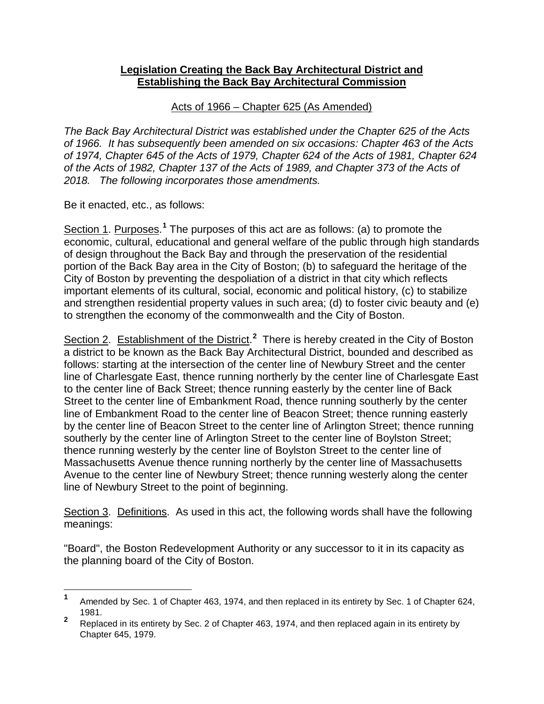## **Legislation Creating the Back Bay Architectural District and Establishing the Back Bay Architectural Commission**

## Acts of 1966 – Chapter 625 (As Amended)

*The Back Bay Architectural District was established under the Chapter 625 of the Acts of 1966. It has subsequently been amended on six occasions: Chapter 463 of the Acts of 1974, Chapter 645 of the Acts of 1979, Chapter 624 of the Acts of 1981, Chapter 624 of the Acts of 1982, Chapter 137 of the Acts of 1989, and Chapter 373 of the Acts of 2018. The following incorporates those amendments.*

Be it enacted, etc., as follows:

Section [1](#page-0-0). Purposes.<sup>1</sup> The purposes of this act are as follows: (a) to promote the economic, cultural, educational and general welfare of the public through high standards of design throughout the Back Bay and through the preservation of the residential portion of the Back Bay area in the City of Boston; (b) to safeguard the heritage of the City of Boston by preventing the despoliation of a district in that city which reflects important elements of its cultural, social, economic and political history, (c) to stabilize and strengthen residential property values in such area; (d) to foster civic beauty and (e) to strengthen the economy of the commonwealth and the City of Boston.

Section [2](#page-0-1). Establishment of the District.<sup>2</sup> There is hereby created in the City of Boston a district to be known as the Back Bay Architectural District, bounded and described as follows: starting at the intersection of the center line of Newbury Street and the center line of Charlesgate East, thence running northerly by the center line of Charlesgate East to the center line of Back Street; thence running easterly by the center line of Back Street to the center line of Embankment Road, thence running southerly by the center line of Embankment Road to the center line of Beacon Street; thence running easterly by the center line of Beacon Street to the center line of Arlington Street; thence running southerly by the center line of Arlington Street to the center line of Boylston Street; thence running westerly by the center line of Boylston Street to the center line of Massachusetts Avenue thence running northerly by the center line of Massachusetts Avenue to the center line of Newbury Street; thence running westerly along the center line of Newbury Street to the point of beginning.

Section 3. Definitions. As used in this act, the following words shall have the following meanings:

"Board", the Boston Redevelopment Authority or any successor to it in its capacity as the planning board of the City of Boston.

<span id="page-0-0"></span>**<sup>1</sup>** Amended by Sec. 1 of Chapter 463, 1974, and then replaced in its entirety by Sec. 1 of Chapter 624, 1981.

<span id="page-0-1"></span>**<sup>2</sup>** Replaced in its entirety by Sec. 2 of Chapter 463, 1974, and then replaced again in its entirety by Chapter 645, 1979.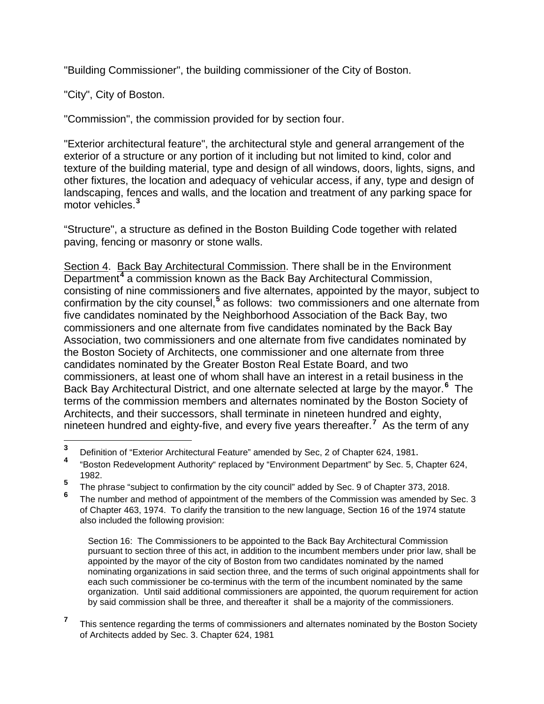"Building Commissioner", the building commissioner of the City of Boston.

"City", City of Boston.

"Commission", the commission provided for by section four.

"Exterior architectural feature", the architectural style and general arrangement of the exterior of a structure or any portion of it including but not limited to kind, color and texture of the building material, type and design of all windows, doors, lights, signs, and other fixtures, the location and adequacy of vehicular access, if any, type and design of landscaping, fences and walls, and the location and treatment of any parking space for motor vehicles.**[3](#page-1-0)**

"Structure", a structure as defined in the Boston Building Code together with related paving, fencing or masonry or stone walls.

Section 4. Back Bay Architectural Commission. There shall be in the Environment Department**[4](#page-1-1)** a commission known as the Back Bay Architectural Commission, consisting of nine commissioners and five alternates, appointed by the mayor, subject to confirmation by the city counsel,**[5](#page-1-2)** as follows: two commissioners and one alternate from five candidates nominated by the Neighborhood Association of the Back Bay, two commissioners and one alternate from five candidates nominated by the Back Bay Association, two commissioners and one alternate from five candidates nominated by the Boston Society of Architects, one commissioner and one alternate from three candidates nominated by the Greater Boston Real Estate Board, and two commissioners, at least one of whom shall have an interest in a retail business in the Back Bay Architectural District, and one alternate selected at large by the mayor.**[6](#page-1-3)** The terms of the commission members and alternates nominated by the Boston Society of Architects, and their successors, shall terminate in nineteen hundred and eighty, nineteen hundred and eighty-five, and every five years thereafter.**[7](#page-1-4)** As the term of any

Section 16: The Commissioners to be appointed to the Back Bay Architectural Commission pursuant to section three of this act, in addition to the incumbent members under prior law, shall be appointed by the mayor of the city of Boston from two candidates nominated by the named nominating organizations in said section three, and the terms of such original appointments shall for each such commissioner be co-terminus with the term of the incumbent nominated by the same organization. Until said additional commissioners are appointed, the quorum requirement for action by said commission shall be three, and thereafter it shall be a majority of the commissioners.

<span id="page-1-1"></span>

<span id="page-1-0"></span>**<sup>3</sup>** Definition of "Exterior Architectural Feature" amended by Sec, 2 of Chapter 624, 1981. **<sup>4</sup>** "Boston Redevelopment Authority" replaced by "Environment Department" by Sec. 5, Chapter 624, 1982.

<span id="page-1-2"></span>**<sup>5</sup>** The phrase "subject to confirmation by the city council" added by Sec. 9 of Chapter 373, 2018.

<span id="page-1-3"></span>The number and method of appointment of the members of the Commission was amended by Sec. 3 of Chapter 463, 1974. To clarify the transition to the new language, Section 16 of the 1974 statute also included the following provision:

<span id="page-1-4"></span><sup>&</sup>lt;sup>7</sup> This sentence regarding the terms of commissioners and alternates nominated by the Boston Society of Architects added by Sec. 3. Chapter 624, 1981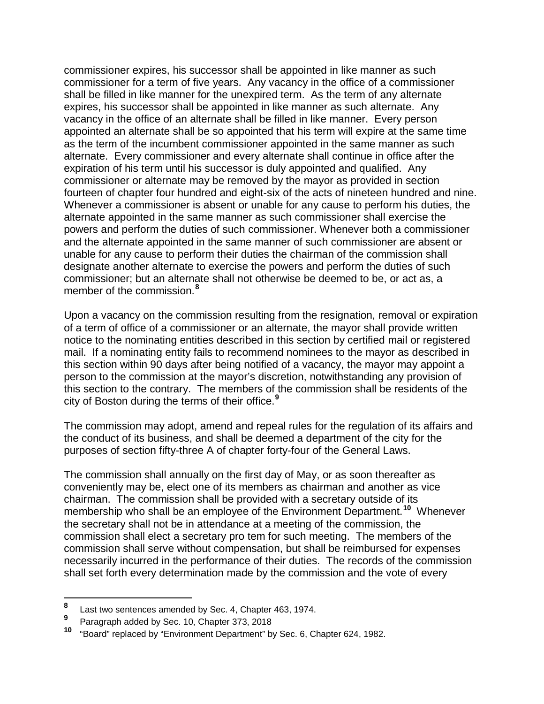commissioner expires, his successor shall be appointed in like manner as such commissioner for a term of five years. Any vacancy in the office of a commissioner shall be filled in like manner for the unexpired term. As the term of any alternate expires, his successor shall be appointed in like manner as such alternate. Any vacancy in the office of an alternate shall be filled in like manner. Every person appointed an alternate shall be so appointed that his term will expire at the same time as the term of the incumbent commissioner appointed in the same manner as such alternate. Every commissioner and every alternate shall continue in office after the expiration of his term until his successor is duly appointed and qualified. Any commissioner or alternate may be removed by the mayor as provided in section fourteen of chapter four hundred and eight-six of the acts of nineteen hundred and nine. Whenever a commissioner is absent or unable for any cause to perform his duties, the alternate appointed in the same manner as such commissioner shall exercise the powers and perform the duties of such commissioner. Whenever both a commissioner and the alternate appointed in the same manner of such commissioner are absent or unable for any cause to perform their duties the chairman of the commission shall designate another alternate to exercise the powers and perform the duties of such commissioner; but an alternate shall not otherwise be deemed to be, or act as, a member of the commission.**[8](#page-2-0)**

Upon a vacancy on the commission resulting from the resignation, removal or expiration of a term of office of a commissioner or an alternate, the mayor shall provide written notice to the nominating entities described in this section by certified mail or registered mail. If a nominating entity fails to recommend nominees to the mayor as described in this section within 90 days after being notified of a vacancy, the mayor may appoint a person to the commission at the mayor's discretion, notwithstanding any provision of this section to the contrary. The members of the commission shall be residents of the city of Boston during the terms of their office.**[9](#page-2-1)**

The commission may adopt, amend and repeal rules for the regulation of its affairs and the conduct of its business, and shall be deemed a department of the city for the purposes of section fifty-three A of chapter forty-four of the General Laws.

The commission shall annually on the first day of May, or as soon thereafter as conveniently may be, elect one of its members as chairman and another as vice chairman. The commission shall be provided with a secretary outside of its membership who shall be an employee of the Environment Department.**[10](#page-2-2)** Whenever the secretary shall not be in attendance at a meeting of the commission, the commission shall elect a secretary pro tem for such meeting. The members of the commission shall serve without compensation, but shall be reimbursed for expenses necessarily incurred in the performance of their duties. The records of the commission shall set forth every determination made by the commission and the vote of every

<span id="page-2-0"></span>**<sup>8</sup>** Last two sentences amended by Sec. 4, Chapter 463, 1974.

<span id="page-2-2"></span><span id="page-2-1"></span>**Paragraph added by Sec. 10, Chapter 373, 2018**<br>10 "Pears<sup>1</sup>" raplaced by "Environment Peacetrace" by

**<sup>10</sup>** "Board" replaced by "Environment Department" by Sec. 6, Chapter 624, 1982.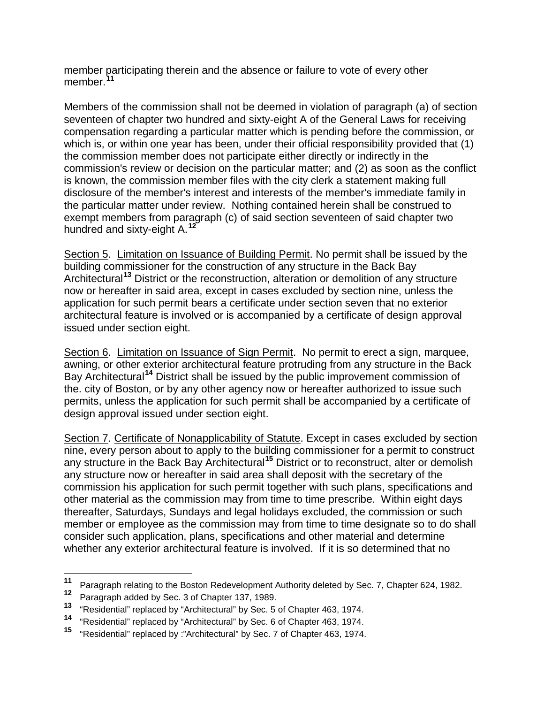member participating therein and the absence or failure to vote of every other member. **[11](#page-3-0)**

Members of the commission shall not be deemed in violation of paragraph (a) of section seventeen of chapter two hundred and sixty-eight A of the General Laws for receiving compensation regarding a particular matter which is pending before the commission, or which is, or within one year has been, under their official responsibility provided that (1) the commission member does not participate either directly or indirectly in the commission's review or decision on the particular matter; and (2) as soon as the conflict is known, the commission member files with the city clerk a statement making full disclosure of the member's interest and interests of the member's immediate family in the particular matter under review. Nothing contained herein shall be construed to exempt members from paragraph (c) of said section seventeen of said chapter two hundred and sixty-eight A.**[12](#page-3-1)**

Section 5. Limitation on Issuance of Building Permit. No permit shall be issued by the building commissioner for the construction of any structure in the Back Bay Architectural**[13](#page-3-2)** District or the reconstruction, alteration or demolition of any structure now or hereafter in said area, except in cases excluded by section nine, unless the application for such permit bears a certificate under section seven that no exterior architectural feature is involved or is accompanied by a certificate of design approval issued under section eight.

Section 6. Limitation on Issuance of Sign Permit. No permit to erect a sign, marquee, awning, or other exterior architectural feature protruding from any structure in the Back Bay Architectural**[14](#page-3-3)** District shall be issued by the public improvement commission of the. city of Boston, or by any other agency now or hereafter authorized to issue such permits, unless the application for such permit shall be accompanied by a certificate of design approval issued under section eight.

Section 7. Certificate of Nonapplicability of Statute. Except in cases excluded by section nine, every person about to apply to the building commissioner for a permit to construct any structure in the Back Bay Architectural**[15](#page-3-4)** District or to reconstruct, alter or demolish any structure now or hereafter in said area shall deposit with the secretary of the commission his application for such permit together with such plans, specifications and other material as the commission may from time to time prescribe. Within eight days thereafter, Saturdays, Sundays and legal holidays excluded, the commission or such member or employee as the commission may from time to time designate so to do shall consider such application, plans, specifications and other material and determine whether any exterior architectural feature is involved. If it is so determined that no

<span id="page-3-0"></span>**<sup>11</sup>** Paragraph relating to the Boston Redevelopment Authority deleted by Sec. 7, Chapter 624, 1982.

<span id="page-3-1"></span><sup>&</sup>lt;sup>12</sup> Paragraph added by Sec. 3 of Chapter 137, 1989.

<span id="page-3-2"></span>**<sup>13</sup>** "Residential" replaced by "Architectural" by Sec. 5 of Chapter 463, 1974.

<span id="page-3-4"></span><span id="page-3-3"></span>**<sup>14</sup>** "Residential" replaced by "Architectural" by Sec. 6 of Chapter 463, 1974.

**<sup>15</sup>** "Residential" replaced by :"Architectural" by Sec. 7 of Chapter 463, 1974.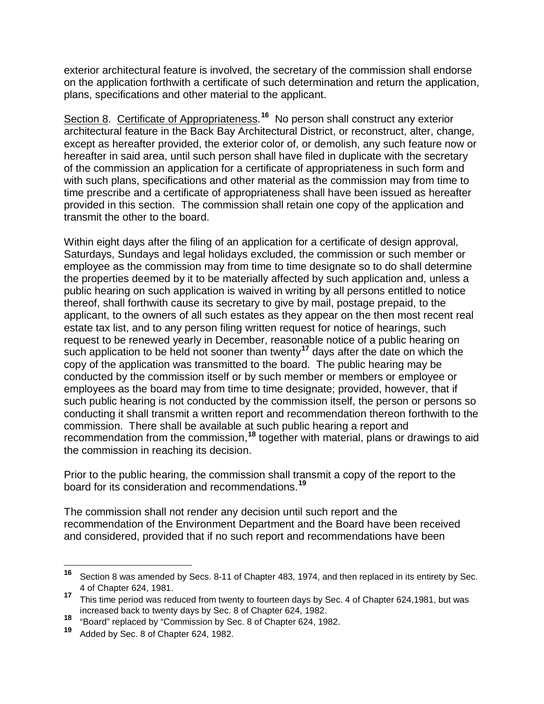exterior architectural feature is involved, the secretary of the commission shall endorse on the application forthwith a certificate of such determination and return the application, plans, specifications and other material to the applicant.

Section 8. Certificate of Appropriateness.<sup>[16](#page-4-0)</sup> No person shall construct any exterior architectural feature in the Back Bay Architectural District, or reconstruct, alter, change, except as hereafter provided, the exterior color of, or demolish, any such feature now or hereafter in said area, until such person shall have filed in duplicate with the secretary of the commission an application for a certificate of appropriateness in such form and with such plans, specifications and other material as the commission may from time to time prescribe and a certificate of appropriateness shall have been issued as hereafter provided in this section. The commission shall retain one copy of the application and transmit the other to the board.

Within eight days after the filing of an application for a certificate of design approval, Saturdays, Sundays and legal holidays excluded, the commission or such member or employee as the commission may from time to time designate so to do shall determine the properties deemed by it to be materially affected by such application and, unless a public hearing on such application is waived in writing by all persons entitled to notice thereof, shall forthwith cause its secretary to give by mail, postage prepaid, to the applicant, to the owners of all such estates as they appear on the then most recent real estate tax list, and to any person filing written request for notice of hearings, such request to be renewed yearly in December, reasonable notice of a public hearing on such application to be held not sooner than twenty**[17](#page-4-1)** days after the date on which the copy of the application was transmitted to the board. The public hearing may be conducted by the commission itself or by such member or members or employee or employees as the board may from time to time designate; provided, however, that if such public hearing is not conducted by the commission itself, the person or persons so conducting it shall transmit a written report and recommendation thereon forthwith to the commission. There shall be available at such public hearing a report and recommendation from the commission,<sup>[18](#page-4-2)</sup> together with material, plans or drawings to aid the commission in reaching its decision.

Prior to the public hearing, the commission shall transmit a copy of the report to the board for its consideration and recommendations.**[19](#page-4-3)**

The commission shall not render any decision until such report and the recommendation of the Environment Department and the Board have been received and considered, provided that if no such report and recommendations have been

<span id="page-4-0"></span>**<sup>16</sup>** Section 8 was amended by Secs. 8-11 of Chapter 483, 1974, and then replaced in its entirety by Sec.

<span id="page-4-1"></span><sup>4</sup> of Chapter 624, 1981. **<sup>17</sup>** This time period was reduced from twenty to fourteen days by Sec. 4 of Chapter 624,1981, but was increased back to twenty days by Sec. 8 of Chapter 624, 1982.

<span id="page-4-3"></span><span id="page-4-2"></span><sup>18 &</sup>quot;Board" replaced by "Commission by Sec. 8 of Chapter 624, 1982.

**<sup>19</sup>** Added by Sec. 8 of Chapter 624, 1982.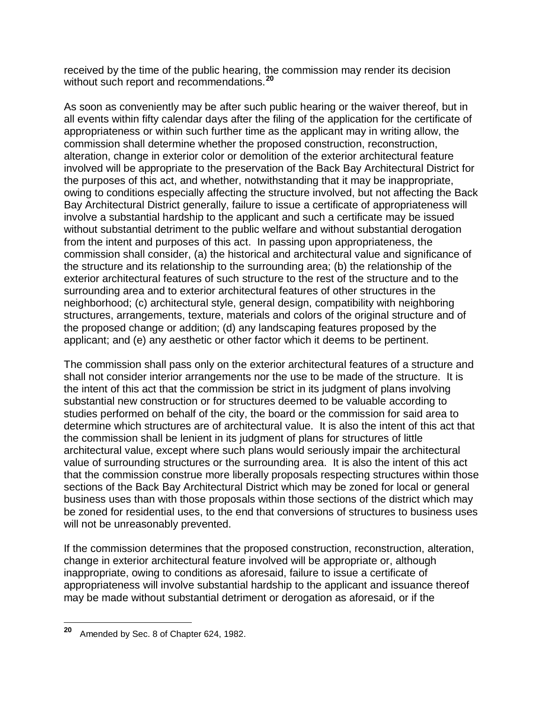received by the time of the public hearing, the commission may render its decision without such report and recommendations.**[20](#page-5-0)**

As soon as conveniently may be after such public hearing or the waiver thereof, but in all events within fifty calendar days after the filing of the application for the certificate of appropriateness or within such further time as the applicant may in writing allow, the commission shall determine whether the proposed construction, reconstruction, alteration, change in exterior color or demolition of the exterior architectural feature involved will be appropriate to the preservation of the Back Bay Architectural District for the purposes of this act, and whether, notwithstanding that it may be inappropriate, owing to conditions especially affecting the structure involved, but not affecting the Back Bay Architectural District generally, failure to issue a certificate of appropriateness will involve a substantial hardship to the applicant and such a certificate may be issued without substantial detriment to the public welfare and without substantial derogation from the intent and purposes of this act. In passing upon appropriateness, the commission shall consider, (a) the historical and architectural value and significance of the structure and its relationship to the surrounding area; (b) the relationship of the exterior architectural features of such structure to the rest of the structure and to the surrounding area and to exterior architectural features of other structures in the neighborhood; (c) architectural style, general design, compatibility with neighboring structures, arrangements, texture, materials and colors of the original structure and of the proposed change or addition; (d) any landscaping features proposed by the applicant; and (e) any aesthetic or other factor which it deems to be pertinent.

The commission shall pass only on the exterior architectural features of a structure and shall not consider interior arrangements nor the use to be made of the structure. It is the intent of this act that the commission be strict in its judgment of plans involving substantial new construction or for structures deemed to be valuable according to studies performed on behalf of the city, the board or the commission for said area to determine which structures are of architectural value. It is also the intent of this act that the commission shall be lenient in its judgment of plans for structures of little architectural value, except where such plans would seriously impair the architectural value of surrounding structures or the surrounding area. It is also the intent of this act that the commission construe more liberally proposals respecting structures within those sections of the Back Bay Architectural District which may be zoned for local or general business uses than with those proposals within those sections of the district which may be zoned for residential uses, to the end that conversions of structures to business uses will not be unreasonably prevented.

If the commission determines that the proposed construction, reconstruction, alteration, change in exterior architectural feature involved will be appropriate or, although inappropriate, owing to conditions as aforesaid, failure to issue a certificate of appropriateness will involve substantial hardship to the applicant and issuance thereof may be made without substantial detriment or derogation as aforesaid, or if the

<span id="page-5-0"></span>**<sup>20</sup>** Amended by Sec. 8 of Chapter 624, 1982.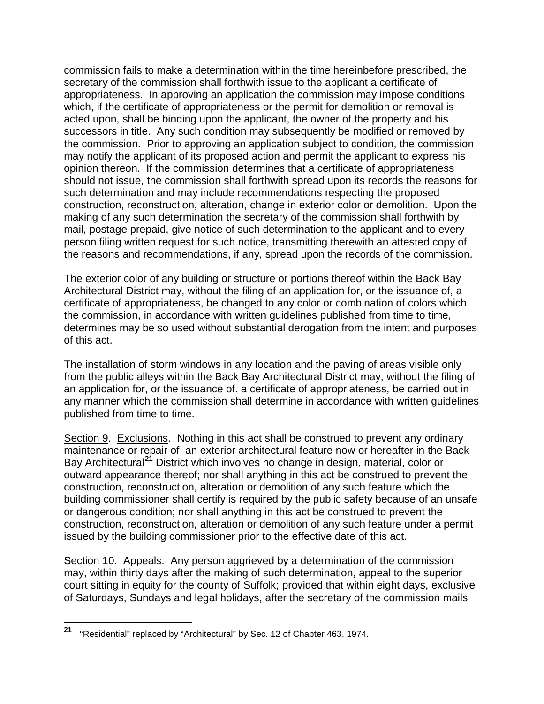commission fails to make a determination within the time hereinbefore prescribed, the secretary of the commission shall forthwith issue to the applicant a certificate of appropriateness. In approving an application the commission may impose conditions which, if the certificate of appropriateness or the permit for demolition or removal is acted upon, shall be binding upon the applicant, the owner of the property and his successors in title. Any such condition may subsequently be modified or removed by the commission. Prior to approving an application subject to condition, the commission may notify the applicant of its proposed action and permit the applicant to express his opinion thereon. If the commission determines that a certificate of appropriateness should not issue, the commission shall forthwith spread upon its records the reasons for such determination and may include recommendations respecting the proposed construction, reconstruction, alteration, change in exterior color or demolition. Upon the making of any such determination the secretary of the commission shall forthwith by mail, postage prepaid, give notice of such determination to the applicant and to every person filing written request for such notice, transmitting therewith an attested copy of the reasons and recommendations, if any, spread upon the records of the commission.

The exterior color of any building or structure or portions thereof within the Back Bay Architectural District may, without the filing of an application for, or the issuance of, a certificate of appropriateness, be changed to any color or combination of colors which the commission, in accordance with written guidelines published from time to time, determines may be so used without substantial derogation from the intent and purposes of this act.

The installation of storm windows in any location and the paving of areas visible only from the public alleys within the Back Bay Architectural District may, without the filing of an application for, or the issuance of. a certificate of appropriateness, be carried out in any manner which the commission shall determine in accordance with written guidelines published from time to time.

Section 9. Exclusions. Nothing in this act shall be construed to prevent any ordinary maintenance or repair of an exterior architectural feature now or hereafter in the Back Bay Architectural**[21](#page-6-0)** District which involves no change in design, material, color or outward appearance thereof; nor shall anything in this act be construed to prevent the construction, reconstruction, alteration or demolition of any such feature which the building commissioner shall certify is required by the public safety because of an unsafe or dangerous condition; nor shall anything in this act be construed to prevent the construction, reconstruction, alteration or demolition of any such feature under a permit issued by the building commissioner prior to the effective date of this act.

Section 10. Appeals. Any person aggrieved by a determination of the commission may, within thirty days after the making of such determination, appeal to the superior court sitting in equity for the county of Suffolk; provided that within eight days, exclusive of Saturdays, Sundays and legal holidays, after the secretary of the commission mails

<span id="page-6-0"></span>**<sup>21</sup>** "Residential" replaced by "Architectural" by Sec. 12 of Chapter 463, 1974.